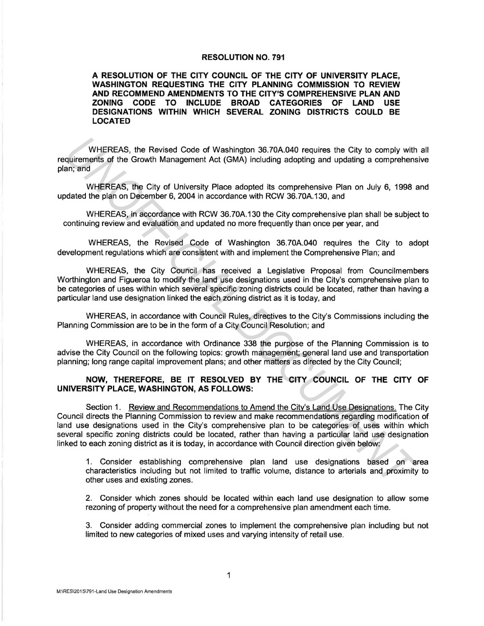## **RESOLUTION NO. 791**

**A RESOLUTION OF THE CITY COUNCIL OF THE CITY OF UNIVERSITY PLACE, WASHINGTON REQUESTING THE CITY PLANNING COMMISSION TO REVIEW AND RECOMMEND AMENDMENTS TO THE CITY'S COMPREHENSIVE PLAN AND ZONING CODE TO INCLUDE BROAD CATEGORIES OF LAND USE DESIGNATIONS WITHIN WHICH SEVERAL ZONING DISTRICTS COULD BE LOCATED** 

WHEREAS, the Revised Code of Washington 36.?0A.040 requires the City to comply with all requirements of the Growth Management Act (GMA) including adopting and updating a comprehensive plan; and

WHEREAS, the City of University Place adopted its comprehensive Plan on July 6, 1998 and updated the plan on December 6, 2004 in accordance with RCW 36.70A.130, and

WHEREAS, in accordance with RCW 36.70A.130 the City comprehensive plan shall be subject to continuing review and evaluation and updated no more frequently than once per year, and

WHEREAS, the Revised Code of Washington 36.?0A.040 requires the City to adopt development regulations which are consistent with and implement the Comprehensive Plan; and

WHEREAS, the City Council has received a Legislative Proposal from Councilmembers Worthington and Figueroa to modify the land use designations used in the City's comprehensive plan to be categories of uses within which several specific zoning districts could be located, rather than having a particular land use designation linked the each zoning district as it is today, and

WHEREAS, in accordance with Council Rules, directives to the City's Commissions including the Planning Commission are to be in the form of a City Council Resolution; and

WHEREAS, in accordance with Ordinance 338 the purpose of the Planning Commission is to advise the City Council on the following topics: growth management; general land use and transportation planning; long range capital improvement plans; and other matters as directed by the City Council;

## **NOW, THEREFORE, BE IT RESOLVED BY THE CITY COUNCIL OF THE CITY OF UNIVERSITY PLACE, WASHINGTON, AS FOLLOWS:**

Section 1. Review and Recommendations to Amend the City's Land Use Designations. The City Council directs the Planning Commission to review and make recommendations regarding modification of land use designations used in the City's comprehensive plan to be categories of uses within which several specific zoning districts could be located, rather than having a particular land use designation linked to each zoning district as it is today, in accordance with Council direction given below: WHEREAS, the Revised Code of Washington 36.70A.040 requires the City to comply with<br>and random of the Growth Management Act (GMA) including adopting and updating a comprehens<br>and, and<br>and which and which management Act (GM

1. Consider establishing comprehensive plan land use designations based on area characteristics including but not limited to traffic volume, distance to arterials and proximity to other uses and existing zones.

2. Consider which zones should be located within each land use designation to allow some rezoning of property without the need for a comprehensive plan amendment each time.

3. Consider adding commercial zones to implement the comprehensive plan including but not limited to new categories of mixed uses and varying intensity of retail use.